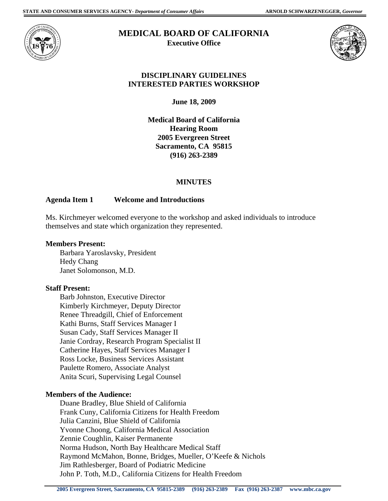

#### **MEDICAL BOARD OF CALIFORNIA Executive Office**



## **DISCIPLINARY GUIDELINES INTERESTED PARTIES WORKSHOP**

**June 18, 2009** 

**Medical Board of California Hearing Room 2005 Evergreen Street Sacramento, CA 95815 (916) 263-2389** 

# **MINUTES**

# **Agenda Item 1 Welcome and Introductions**

Ms. Kirchmeyer welcomed everyone to the workshop and asked individuals to introduce themselves and state which organization they represented.

### **Members Present:**

Barbara Yaroslavsky, President Hedy Chang Janet Solomonson, M.D.

### **Staff Present:**

Barb Johnston, Executive Director Kimberly Kirchmeyer, Deputy Director Renee Threadgill, Chief of Enforcement Kathi Burns, Staff Services Manager I Susan Cady, Staff Services Manager II Janie Cordray, Research Program Specialist II Catherine Hayes, Staff Services Manager I Ross Locke, Business Services Assistant Paulette Romero, Associate Analyst Anita Scuri, Supervising Legal Counsel

### **Members of the Audience:**

Duane Bradley, Blue Shield of California Frank Cuny, California Citizens for Health Freedom Julia Canzini, Blue Shield of California Yvonne Choong, California Medical Association Zennie Coughlin, Kaiser Permanente Norma Hudson, North Bay Healthcare Medical Staff Raymond McMahon, Bonne, Bridges, Mueller, O'Keefe & Nichols Jim Rathlesberger, Board of Podiatric Medicine John P. Toth, M.D., California Citizens for Health Freedom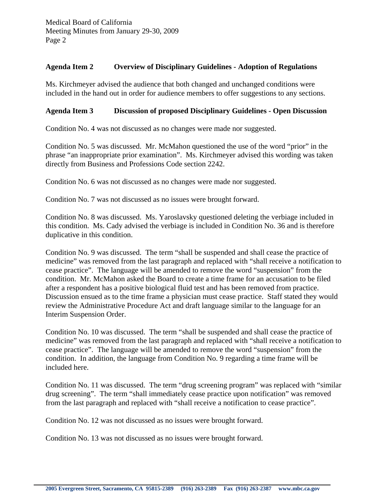#### **Agenda Item 2 Overview of Disciplinary Guidelines - Adoption of Regulations**

Ms. Kirchmeyer advised the audience that both changed and unchanged conditions were included in the hand out in order for audience members to offer suggestions to any sections.

### **Agenda Item 3 Discussion of proposed Disciplinary Guidelines - Open Discussion**

Condition No. 4 was not discussed as no changes were made nor suggested.

Condition No. 5 was discussed. Mr. McMahon questioned the use of the word "prior" in the phrase "an inappropriate prior examination". Ms. Kirchmeyer advised this wording was taken directly from Business and Professions Code section 2242.

Condition No. 6 was not discussed as no changes were made nor suggested.

Condition No. 7 was not discussed as no issues were brought forward.

Condition No. 8 was discussed. Ms. Yaroslavsky questioned deleting the verbiage included in this condition. Ms. Cady advised the verbiage is included in Condition No. 36 and is therefore duplicative in this condition.

Condition No. 9 was discussed. The term "shall be suspended and shall cease the practice of medicine" was removed from the last paragraph and replaced with "shall receive a notification to cease practice". The language will be amended to remove the word "suspension" from the condition. Mr. McMahon asked the Board to create a time frame for an accusation to be filed after a respondent has a positive biological fluid test and has been removed from practice. Discussion ensued as to the time frame a physician must cease practice. Staff stated they would review the Administrative Procedure Act and draft language similar to the language for an Interim Suspension Order.

Condition No. 10 was discussed. The term "shall be suspended and shall cease the practice of medicine" was removed from the last paragraph and replaced with "shall receive a notification to cease practice". The language will be amended to remove the word "suspension" from the condition. In addition, the language from Condition No. 9 regarding a time frame will be included here.

Condition No. 11 was discussed. The term "drug screening program" was replaced with "similar drug screening". The term "shall immediately cease practice upon notification" was removed from the last paragraph and replaced with "shall receive a notification to cease practice".

Condition No. 12 was not discussed as no issues were brought forward.

Condition No. 13 was not discussed as no issues were brought forward.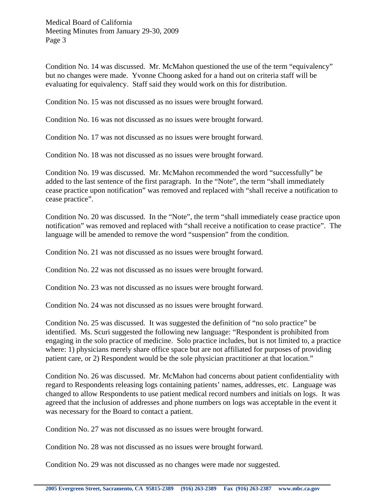Medical Board of California Meeting Minutes from January 29-30, 2009 Page 3

Condition No. 14 was discussed. Mr. McMahon questioned the use of the term "equivalency" but no changes were made. Yvonne Choong asked for a hand out on criteria staff will be evaluating for equivalency. Staff said they would work on this for distribution.

Condition No. 15 was not discussed as no issues were brought forward.

Condition No. 16 was not discussed as no issues were brought forward.

Condition No. 17 was not discussed as no issues were brought forward.

Condition No. 18 was not discussed as no issues were brought forward.

Condition No. 19 was discussed. Mr. McMahon recommended the word "successfully" be added to the last sentence of the first paragraph. In the "Note", the term "shall immediately cease practice upon notification" was removed and replaced with "shall receive a notification to cease practice".

Condition No. 20 was discussed. In the "Note", the term "shall immediately cease practice upon notification" was removed and replaced with "shall receive a notification to cease practice". The language will be amended to remove the word "suspension" from the condition.

Condition No. 21 was not discussed as no issues were brought forward.

Condition No. 22 was not discussed as no issues were brought forward.

Condition No. 23 was not discussed as no issues were brought forward.

Condition No. 24 was not discussed as no issues were brought forward.

Condition No. 25 was discussed. It was suggested the definition of "no solo practice" be identified. Ms. Scuri suggested the following new language: "Respondent is prohibited from engaging in the solo practice of medicine. Solo practice includes, but is not limited to, a practice where: 1) physicians merely share office space but are not affiliated for purposes of providing patient care, or 2) Respondent would be the sole physician practitioner at that location."

Condition No. 26 was discussed. Mr. McMahon had concerns about patient confidentiality with regard to Respondents releasing logs containing patients' names, addresses, etc. Language was changed to allow Respondents to use patient medical record numbers and initials on logs. It was agreed that the inclusion of addresses and phone numbers on logs was acceptable in the event it was necessary for the Board to contact a patient.

Condition No. 27 was not discussed as no issues were brought forward.

Condition No. 28 was not discussed as no issues were brought forward.

Condition No. 29 was not discussed as no changes were made nor suggested.